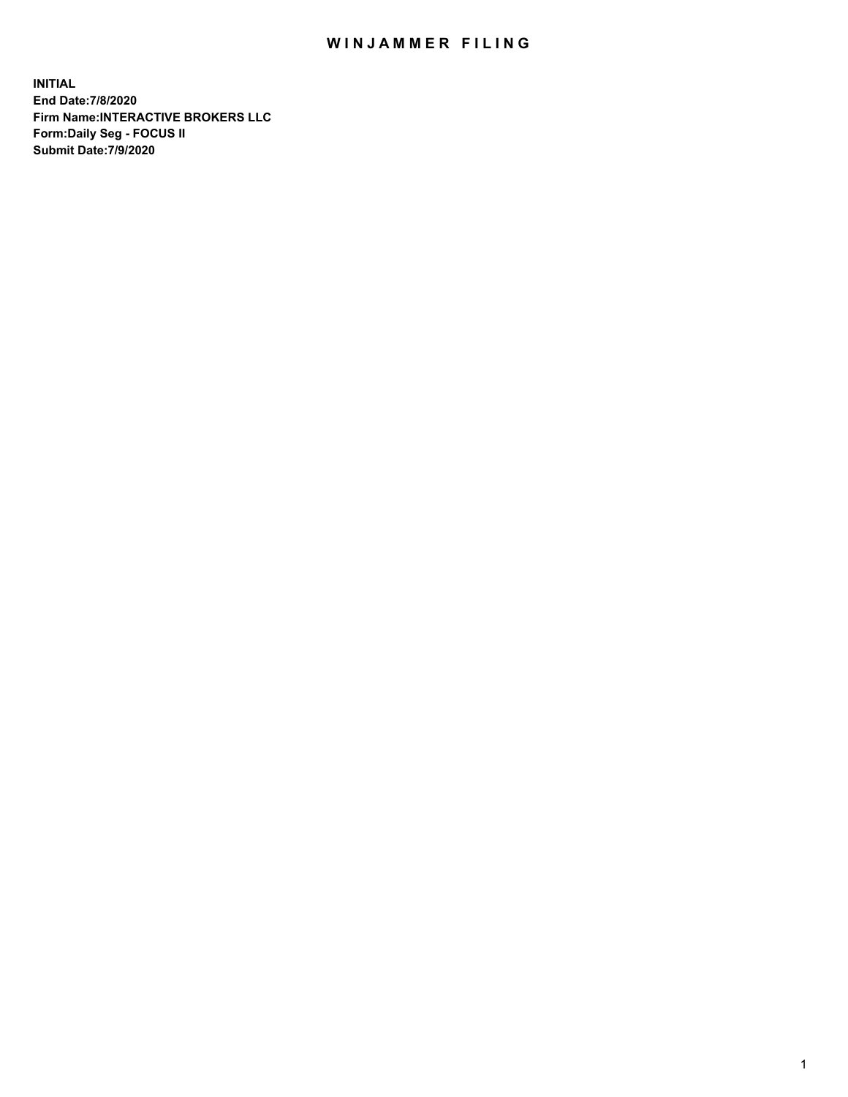## WIN JAMMER FILING

**INITIAL End Date:7/8/2020 Firm Name:INTERACTIVE BROKERS LLC Form:Daily Seg - FOCUS II Submit Date:7/9/2020**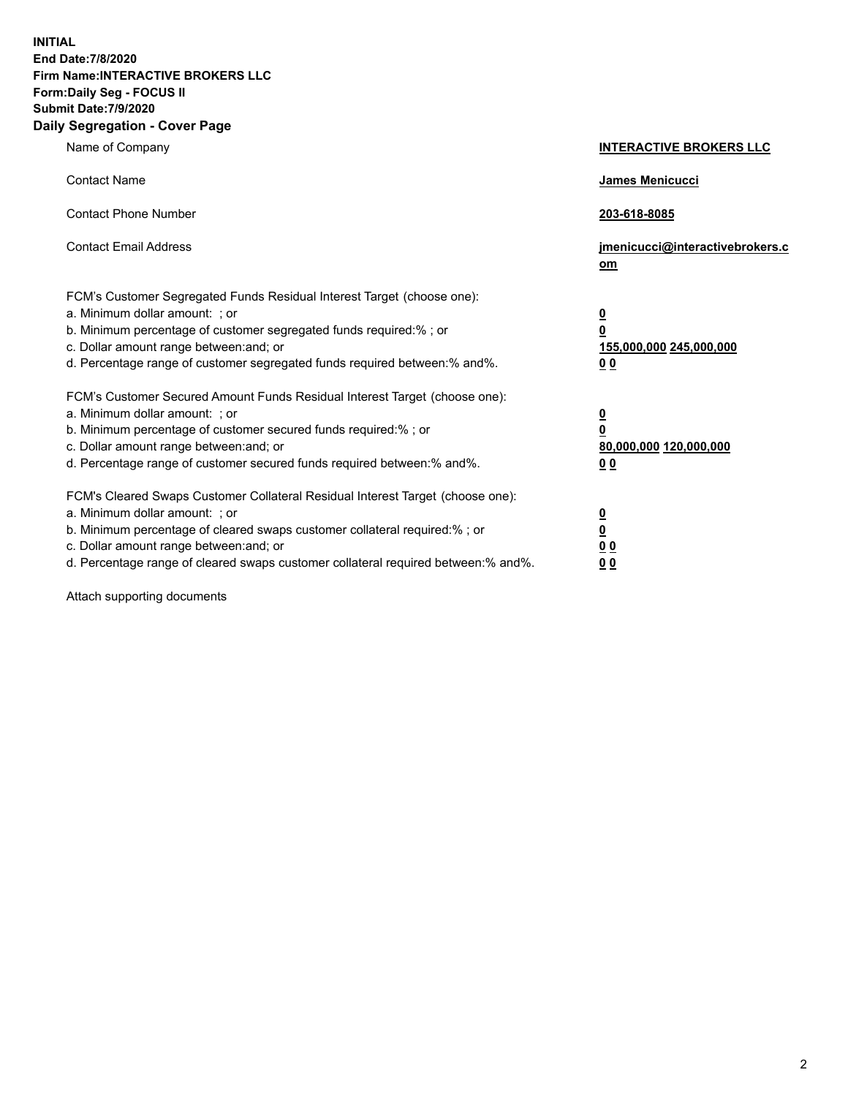**INITIAL End Date:7/8/2020 Firm Name:INTERACTIVE BROKERS LLC Form:Daily Seg - FOCUS II Submit Date:7/9/2020 Daily Segregation - Cover Page**

| Name of Company                                                                                                                                                                                                                                                                                                               | <b>INTERACTIVE BROKERS LLC</b>                                                             |
|-------------------------------------------------------------------------------------------------------------------------------------------------------------------------------------------------------------------------------------------------------------------------------------------------------------------------------|--------------------------------------------------------------------------------------------|
| <b>Contact Name</b>                                                                                                                                                                                                                                                                                                           | <b>James Menicucci</b>                                                                     |
| <b>Contact Phone Number</b>                                                                                                                                                                                                                                                                                                   | 203-618-8085                                                                               |
| <b>Contact Email Address</b>                                                                                                                                                                                                                                                                                                  | jmenicucci@interactivebrokers.c<br>om                                                      |
| FCM's Customer Segregated Funds Residual Interest Target (choose one):<br>a. Minimum dollar amount: : or<br>b. Minimum percentage of customer segregated funds required:% ; or<br>c. Dollar amount range between: and; or<br>d. Percentage range of customer segregated funds required between:% and%.                        | $\overline{\mathbf{0}}$<br>0<br>155,000,000 245,000,000<br><u>00</u>                       |
| FCM's Customer Secured Amount Funds Residual Interest Target (choose one):<br>a. Minimum dollar amount: ; or<br>b. Minimum percentage of customer secured funds required:% ; or<br>c. Dollar amount range between: and; or<br>d. Percentage range of customer secured funds required between:% and%.                          | $\overline{\mathbf{0}}$<br>$\overline{\mathbf{0}}$<br>80,000,000 120,000,000<br><u>0 0</u> |
| FCM's Cleared Swaps Customer Collateral Residual Interest Target (choose one):<br>a. Minimum dollar amount: ; or<br>b. Minimum percentage of cleared swaps customer collateral required:%; or<br>c. Dollar amount range between: and; or<br>d. Percentage range of cleared swaps customer collateral required between:% and%. | $\frac{0}{0}$<br>0 <sub>0</sub><br>0 <sub>0</sub>                                          |

Attach supporting documents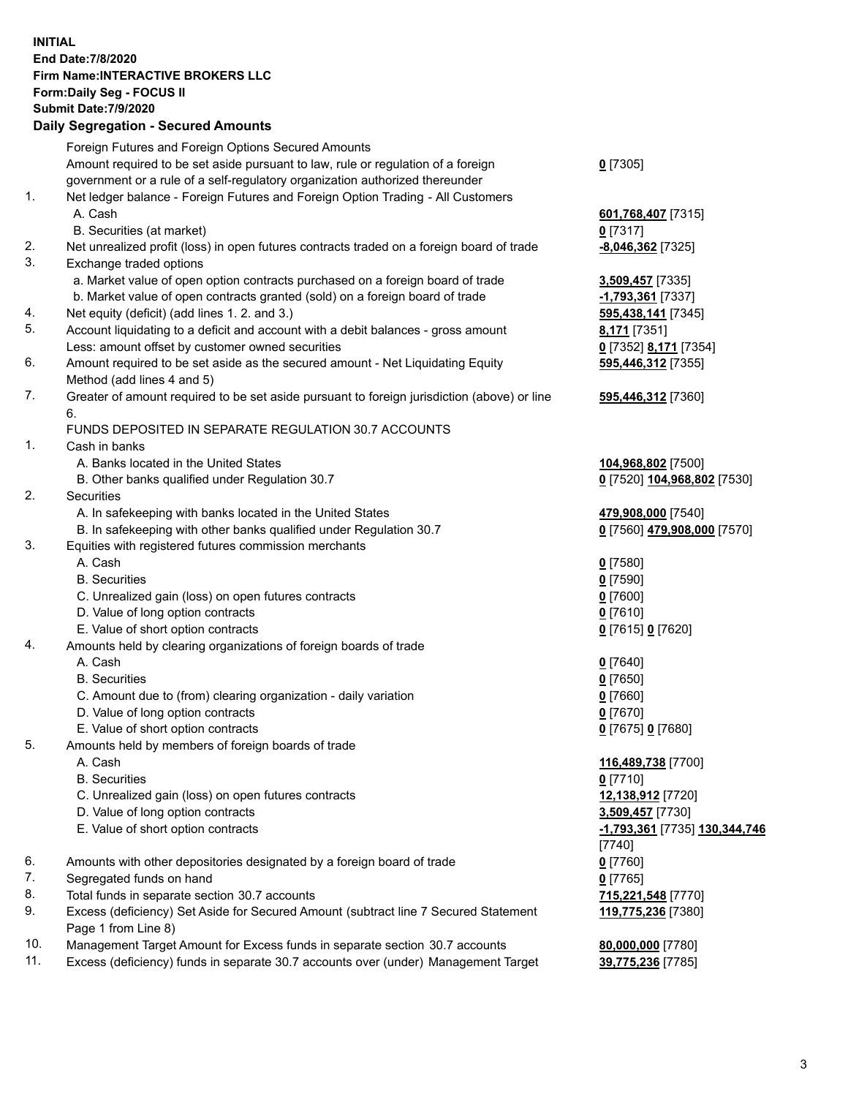**INITIAL End Date:7/8/2020 Firm Name:INTERACTIVE BROKERS LLC Form:Daily Seg - FOCUS II Submit Date:7/9/2020 Daily Segregation - Secured Amounts**

|     | Daily Segregation - Secured Amounts                                                                        |                                      |
|-----|------------------------------------------------------------------------------------------------------------|--------------------------------------|
|     | Foreign Futures and Foreign Options Secured Amounts                                                        |                                      |
|     | Amount required to be set aside pursuant to law, rule or regulation of a foreign                           | $0$ [7305]                           |
|     | government or a rule of a self-regulatory organization authorized thereunder                               |                                      |
| 1.  | Net ledger balance - Foreign Futures and Foreign Option Trading - All Customers                            |                                      |
|     | A. Cash                                                                                                    | 601,768,407 [7315]                   |
|     | B. Securities (at market)                                                                                  | $0$ [7317]                           |
| 2.  | Net unrealized profit (loss) in open futures contracts traded on a foreign board of trade                  | $-8,046,362$ [7325]                  |
| 3.  | Exchange traded options                                                                                    |                                      |
|     | a. Market value of open option contracts purchased on a foreign board of trade                             | 3,509,457 [7335]                     |
|     | b. Market value of open contracts granted (sold) on a foreign board of trade                               | -1,793,361 [7337]                    |
| 4.  | Net equity (deficit) (add lines 1. 2. and 3.)                                                              | 595,438,141 [7345]                   |
| 5.  | Account liquidating to a deficit and account with a debit balances - gross amount                          | 8,171 [7351]                         |
|     | Less: amount offset by customer owned securities                                                           | 0 [7352] 8,171 [7354]                |
| 6.  | Amount required to be set aside as the secured amount - Net Liquidating Equity                             | 595,446,312 [7355]                   |
|     | Method (add lines 4 and 5)                                                                                 |                                      |
| 7.  | Greater of amount required to be set aside pursuant to foreign jurisdiction (above) or line                | 595,446,312 [7360]                   |
|     | 6.                                                                                                         |                                      |
|     | FUNDS DEPOSITED IN SEPARATE REGULATION 30.7 ACCOUNTS                                                       |                                      |
| 1.  | Cash in banks                                                                                              |                                      |
|     | A. Banks located in the United States                                                                      | 104,968,802 [7500]                   |
|     | B. Other banks qualified under Regulation 30.7                                                             | 0 [7520] 104,968,802 [7530]          |
| 2.  | <b>Securities</b>                                                                                          |                                      |
|     | A. In safekeeping with banks located in the United States                                                  | 479,908,000 [7540]                   |
|     | B. In safekeeping with other banks qualified under Regulation 30.7                                         | 0 [7560] 479,908,000 [7570]          |
| 3.  | Equities with registered futures commission merchants                                                      |                                      |
|     | A. Cash                                                                                                    | $0$ [7580]                           |
|     | <b>B.</b> Securities                                                                                       | $0$ [7590]                           |
|     | C. Unrealized gain (loss) on open futures contracts                                                        | $0$ [7600]                           |
|     | D. Value of long option contracts                                                                          | $0$ [7610]                           |
|     | E. Value of short option contracts                                                                         | 0 [7615] 0 [7620]                    |
| 4.  | Amounts held by clearing organizations of foreign boards of trade                                          |                                      |
|     | A. Cash                                                                                                    | $0$ [7640]                           |
|     | <b>B.</b> Securities                                                                                       | $0$ [7650]                           |
|     | C. Amount due to (from) clearing organization - daily variation                                            | $0$ [7660]                           |
|     | D. Value of long option contracts                                                                          | $0$ [7670]                           |
|     | E. Value of short option contracts                                                                         | 0 [7675] 0 [7680]                    |
| 5.  | Amounts held by members of foreign boards of trade                                                         |                                      |
|     | A. Cash                                                                                                    | 116,489,738 [7700]                   |
|     | <b>B.</b> Securities                                                                                       | $0$ [7710]                           |
|     | C. Unrealized gain (loss) on open futures contracts                                                        | 12,138,912 [7720]                    |
|     | D. Value of long option contracts                                                                          | 3,509,457 [7730]                     |
|     | E. Value of short option contracts                                                                         | <u>-1,793,361</u> [7735] 130,344,746 |
|     |                                                                                                            | [7740]                               |
| 6.  | Amounts with other depositories designated by a foreign board of trade                                     | $0$ [7760]                           |
| 7.  | Segregated funds on hand                                                                                   | $0$ [7765]                           |
| 8.  | Total funds in separate section 30.7 accounts                                                              | 715,221,548 [7770]                   |
| 9.  | Excess (deficiency) Set Aside for Secured Amount (subtract line 7 Secured Statement<br>Page 1 from Line 8) | 119,775,236 [7380]                   |
| 10. | Management Target Amount for Excess funds in separate section 30.7 accounts                                | 80,000,000 [7780]                    |
| 11. | Excess (deficiency) funds in separate 30.7 accounts over (under) Management Target                         | 39,775,236 [7785]                    |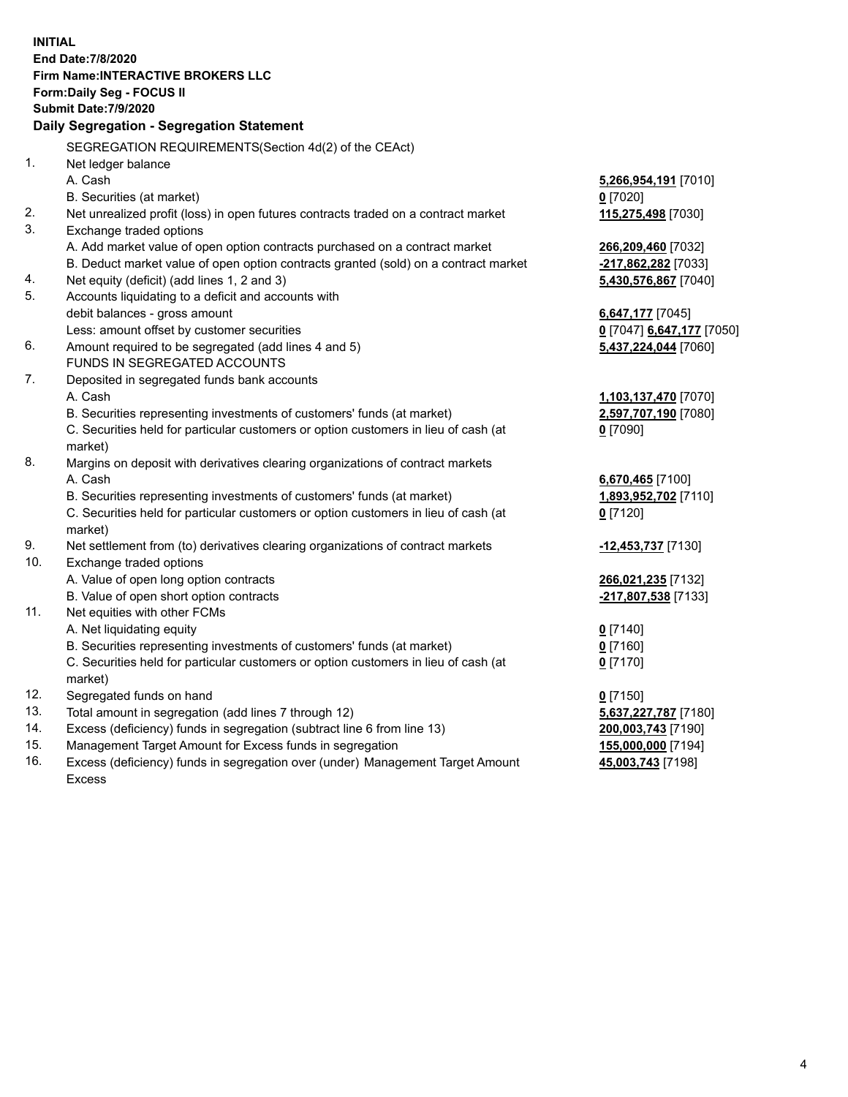**INITIAL End Date:7/8/2020 Firm Name:INTERACTIVE BROKERS LLC Form:Daily Seg - FOCUS II Submit Date:7/9/2020 Daily Segregation - Segregation Statement** SEGREGATION REQUIREMENTS(Section 4d(2) of the CEAct) 1. Net ledger balance A. Cash **5,266,954,191** [7010] B. Securities (at market) **0** [7020] 2. Net unrealized profit (loss) in open futures contracts traded on a contract market **115,275,498** [7030] 3. Exchange traded options A. Add market value of open option contracts purchased on a contract market **266,209,460** [7032] B. Deduct market value of open option contracts granted (sold) on a contract market **-217,862,282** [7033] 4. Net equity (deficit) (add lines 1, 2 and 3) **5,430,576,867** [7040] 5. Accounts liquidating to a deficit and accounts with debit balances - gross amount **6,647,177** [7045] Less: amount offset by customer securities **0** [7047] **6,647,177** [7050] 6. Amount required to be segregated (add lines 4 and 5) **5,437,224,044** [7060] FUNDS IN SEGREGATED ACCOUNTS 7. Deposited in segregated funds bank accounts A. Cash **1,103,137,470** [7070] B. Securities representing investments of customers' funds (at market) **2,597,707,190** [7080] C. Securities held for particular customers or option customers in lieu of cash (at market) **0** [7090] 8. Margins on deposit with derivatives clearing organizations of contract markets A. Cash **6,670,465** [7100] B. Securities representing investments of customers' funds (at market) **1,893,952,702** [7110] C. Securities held for particular customers or option customers in lieu of cash (at market) **0** [7120] 9. Net settlement from (to) derivatives clearing organizations of contract markets **-12,453,737** [7130] 10. Exchange traded options A. Value of open long option contracts **266,021,235** [7132] B. Value of open short option contracts **-217,807,538** [7133] 11. Net equities with other FCMs A. Net liquidating equity **0** [7140] B. Securities representing investments of customers' funds (at market) **0** [7160] C. Securities held for particular customers or option customers in lieu of cash (at market) **0** [7170] 12. Segregated funds on hand **0** [7150] 13. Total amount in segregation (add lines 7 through 12) **5,637,227,787** [7180] 14. Excess (deficiency) funds in segregation (subtract line 6 from line 13) **200,003,743** [7190] 15. Management Target Amount for Excess funds in segregation **155,000,000** [7194]

16. Excess (deficiency) funds in segregation over (under) Management Target Amount Excess

**45,003,743** [7198]